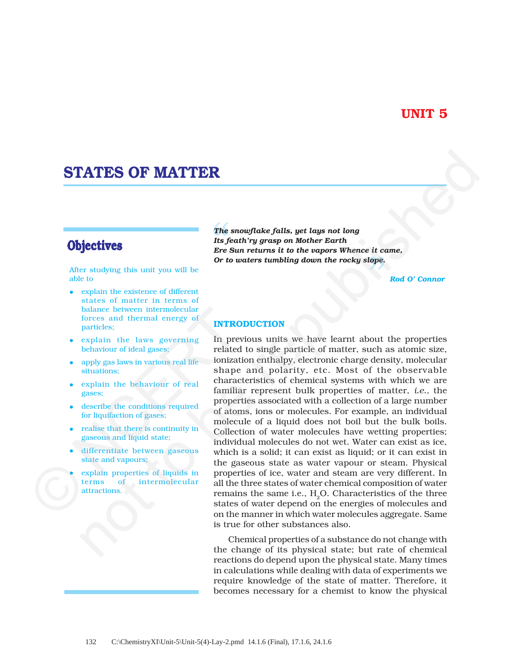# **UNIT 5**

# **STATES OF MATTER**

After studying this unit you will be able to

- explain the existence of different states of matter in terms of balance between intermolecular forces and thermal energy of particles;
- explain the laws governing behaviour of ideal gases;
- apply gas laws in various real life situations;
- explain the behaviour of real gases;
- describe the conditions required for liquifaction of gases;
- realise that there is continuity in gaseous and liquid state;
- differentiate between gaseous state and vapours;
- explain properties of liquids in<br>terms of intermolecular intermolecular attractions.

*The snowflake falls, yet lays not long Its feath'ry grasp on Mother Earth Ere Sun returns it to the vapors Whence it came, Or to waters tumbling down the rocky slope.*

*Rod O' Connor*

#### **INTRODUCTION**

In previous units we have learnt about the properties related to single particle of matter, such as atomic size, ionization enthalpy, electronic charge density, molecular shape and polarity, etc. Most of the observable characteristics of chemical systems with which we are familiar represent bulk properties of matter, *i.e.,* the properties associated with a collection of a large number of atoms, ions or molecules. For example, an individual molecule of a liquid does not boil but the bulk boils. Collection of water molecules have wetting properties; individual molecules do not wet. Water can exist as ice, which is a solid; it can exist as liquid; or it can exist in the gaseous state as water vapour or steam. Physical properties of ice, water and steam are very different. In all the three states of water chemical composition of water remains the same i.e.,  $H<sub>2</sub>O$ . Characteristics of the three states of water depend on the energies of molecules and on the manner in which water molecules aggregate. Same is true for other substances also. balance between intermolecular<br>forces and thermal energy of<br>particles;<br>explain the laws governing In pre<br>behaviour of ideal gases;<br>explains in various real life<br>interactions;<br>shape<br>explain the behaviour of real charactions **EXAMPES OF MATTER**<br>
The snowflake falls, yet lays not long<br>
lettives<br>  $\frac{1}{2}$  frequency and  $\frac{1}{2}$  frequency and  $\frac{1}{2}$  frequency and  $\frac{1}{2}$  frequency and  $\frac{1}{2}$  for  $\frac{1}{2}$  contents are  $\frac{1}{2}$  content

Chemical properties of a substance do not change with the change of its physical state; but rate of chemical reactions do depend upon the physical state. Many times in calculations while dealing with data of experiments we require knowledge of the state of matter. Therefore, it becomes necessary for a chemist to know the physical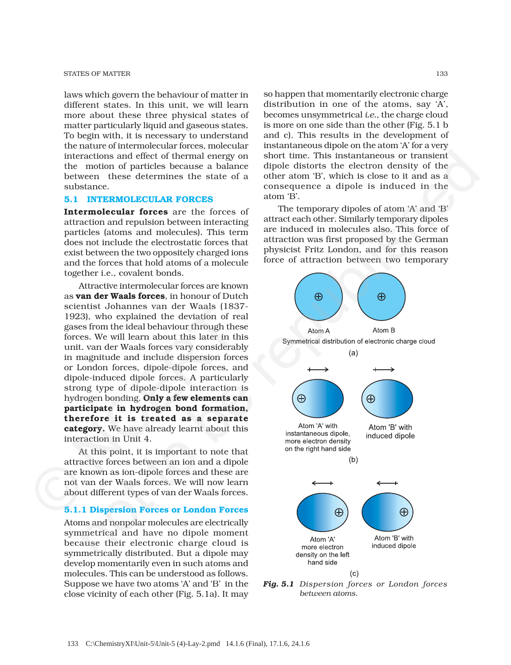laws which govern the behaviour of matter in different states. In this unit, we will learn more about these three physical states of matter particularly liquid and gaseous states. To begin with, it is necessary to understand the nature of intermolecular forces, molecular interactions and effect of thermal energy on the motion of particles because a balance between these determines the state of a substance.

#### **5.1 INTERMOLECULAR FORCES**

**Intermolecular forces** are the forces of attraction and repulsion between interacting particles (atoms and molecules). This term does not include the electrostatic forces that exist between the two oppositely charged ions and the forces that hold atoms of a molecule together i.e., covalent bonds.

Attractive intermolecular forces are known as **van der Waals forces**, in honour of Dutch scientist Johannes van der Waals (1837- 1923), who explained the deviation of real gases from the ideal behaviour through these forces. We will learn about this later in this unit. van der Waals forces vary considerably in magnitude and include dispersion forces or London forces, dipole-dipole forces, and dipole-induced dipole forces. A particularly strong type of dipole-dipole interaction is hydrogen bonding. **Only a few elements can participate in hydrogen bond formation, therefore it is treated as a separate category.** We have already learnt about this interaction in Unit 4. Scientist Jonaines van der waats (163<br>1923), who explained the deviation of re<br>gases from the ideal behaviour through the<br>forces. We will learn about this later in th<br>unit. van der Waals forces vary considerat<br>in magnitude

At this point, it is important to note that attractive forces between an ion and a dipole are known as ion-dipole forces and these are not van der Waals forces. We will now learn about different types of van der Waals forces.

#### **5.1.1 Dispersion Forces or London Forces**

Atoms and nonpolar molecules are electrically symmetrical and have no dipole moment because their electronic charge cloud is symmetrically distributed. But a dipole may develop momentarily even in such atoms and molecules. This can be understood as follows. Suppose we have two atoms 'A' and 'B' in the close vicinity of each other (Fig. 5.1a). It may

so happen that momentarily electronic charge distribution in one of the atoms, say 'A', becomes unsymmetrical *i.e.,* the charge cloud is more on one side than the other (Fig. 5.1 b and c). This results in the development of instantaneous dipole on the atom 'A' for a very short time. This instantaneous or transient dipole distorts the electron density of the other atom 'B', which is close to it and as a consequence a dipole is induced in the atom 'B'.

The temporary dipoles of atom 'A' and 'B' attract each other. Similarly temporary dipoles are induced in molecules also. This force of attraction was first proposed by the German physicist Fritz London, and for this reason force of attraction between two temporary



*Fig. 5.1 Dispersion forces or London forces between atoms.*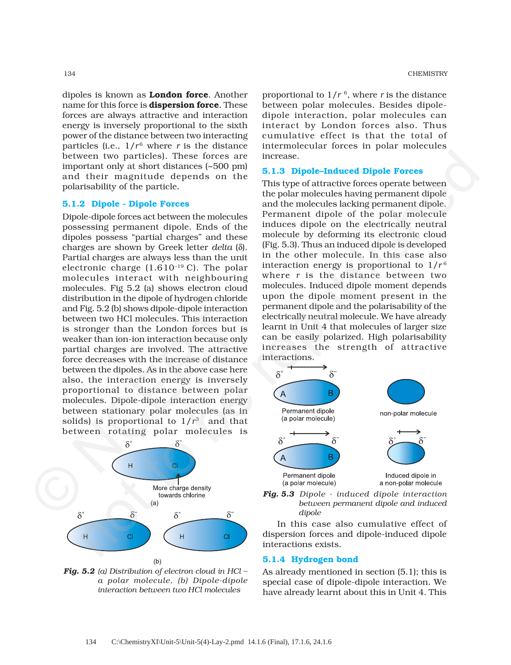dipoles is known as **London force**. Another name for this force is **dispersion force**. These forces are always attractive and interaction energy is inversely proportional to the sixth power of the distance between two interacting particles (i.e.,  $1/r^6$  where *r* is the distance between two particles). These forces are important only at short distances (~500 pm) and their magnitude depends on the polarisability of the particle.

# **5.1.2 Dipole - Dipole Forces**

Dipole-dipole forces act between the molecules possessing permanent dipole. Ends of the dipoles possess "partial charges" and these charges are shown by Greek letter *delta* (δ). Partial charges are always less than the unit electronic charge (1.610–19 C). The polar molecules interact with neighbouring molecules. Fig 5.2 (a) shows electron cloud distribution in the dipole of hydrogen chloride and Fig. 5.2 (b) shows dipole-dipole interaction between two HCl molecules. This interaction is stronger than the London forces but is weaker than ion-ion interaction because only partial charges are involved. The attractive force decreases with the increase of distance between the dipoles. As in the above case here also, the interaction energy is inversely proportional to distance between polar molecules. Dipole-dipole interaction energy between stationary polar molecules (as in solids) is proportional to  $1/r^3$  and that between rotating polar molecules is and Fig. 5.2 (b) shows dipole-dipole interaction<br>between two HCI molecules. This interaction<br>between two HCI molecules. This interaction<br>is stronger than the London forces but<br>weaker than ion-ion interaction because on<br>pa vector in the proposes of the magnitude of the magnitude of the magnitude of the republished interests of the propose of the propose interest in the propose of the pair and the pair and the pair and the pair and the pair



*Fig. 5.2 (a) Distribution of electron cloud in HCl – a polar molecule, (b) Dipole-dipole interaction between two HCl molecules*

134 CHEMISTRY

proportional to  $1/r^6$ , where *r* is the distance between polar molecules. Besides dipoledipole interaction, polar molecules can interact by London forces also. Thus cumulative effect is that the total of intermolecular forces in polar molecules increase.

# **5.1.3 Dipole–Induced Dipole Forces**

This type of attractive forces operate between the polar molecules having permanent dipole and the molecules lacking permanent dipole. Permanent dipole of the polar molecule induces dipole on the electrically neutral molecule by deforming its electronic cloud (Fig. 5.3). Thus an induced dipole is developed in the other molecule. In this case also interaction energy is proportional to  $1/r^6$ where *r* is the distance between two molecules. Induced dipole moment depends upon the dipole moment present in the permanent dipole and the polarisability of the electrically neutral molecule. We have already learnt in Unit 4 that molecules of larger size can be easily polarized. High polarisability increases the strength of attractive interactions.



*Fig. 5.3 Dipole - induced dipole interaction between permanent dipole and induced dipole*

In this case also cumulative effect of dispersion forces and dipole-induced dipole interactions exists.

#### **5.1.4 Hydrogen bond**

As already mentioned in section (5.1); this is special case of dipole-dipole interaction. We have already learnt about this in Unit 4. This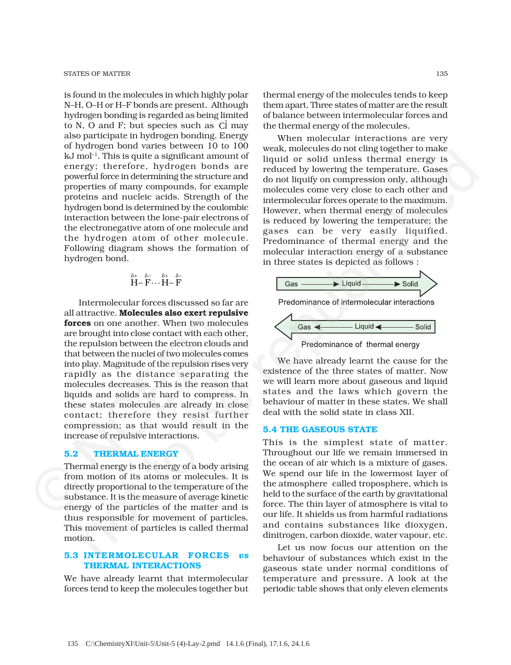is found in the molecules in which highly polar N–H, O–H or H–F bonds are present. Although hydrogen bonding is regarded as being limited to N, O and F; but species such as  $\overline{CI}$  may also participate in hydrogen bonding. Energy of hydrogen bond varies between 10 to 100 kJ mol–1. This is quite a significant amount of energy; therefore, hydrogen bonds are powerful force in determining the structure and properties of many compounds, for example proteins and nucleic acids. Strength of the hydrogen bond is determined by the coulombic interaction between the lone-pair electrons of the electronegative atom of one molecule and the hydrogen atom of other molecule. Following diagram shows the formation of hydrogen bond.

$$
\stackrel{\delta^+}{H^-} \stackrel{\delta^-}{F} \cdots \stackrel{\delta^+}{H^-} \stackrel{\delta^-}{F}
$$

Intermolecular forces discussed so far are all attractive. **Molecules also exert repulsive forces** on one another. When two molecules are brought into close contact with each other, the repulsion between the electron clouds and that between the nuclei of two molecules comes into play. Magnitude of the repulsion rises very rapidly as the distance separating the molecules decreases. This is the reason that liquids and solids are hard to compress. In these states molecules are already in close contact; therefore they resist further compression; as that would result in the increase of repulsive interactions. all attractive. **Molecules also exert repulsif**<br> **forces** on one another. When two molecul<br>
are brought into close contact with each oth<br>
the repulsion between the electron clouds an<br>
that between the nuclei of two molecul not "This is quite a significant amount of weak monted who were perpendent or national energy therefore. In the republished one were perpendicular of the republished perfect in the content of the republished perfect in th

#### **5.2 THERMAL ENERGY**

Thermal energy is the energy of a body arising from motion of its atoms or molecules. It is directly proportional to the temperature of the substance. It is the measure of average kinetic energy of the particles of the matter and is thus responsible for movement of particles. This movement of particles is called thermal motion.

# **5.3 INTERMOLECULAR FORCES** *vs* **THERMAL INTERACTIONS**

We have already learnt that intermolecular forces tend to keep the molecules together but thermal energy of the molecules tends to keep them apart. Three states of matter are the result of balance between intermolecular forces and the thermal energy of the molecules.

When molecular interactions are very weak, molecules do not cling together to make liquid or solid unless thermal energy is reduced by lowering the temperature. Gases do not liquify on compression only, although molecules come very close to each other and intermolecular forces operate to the maximum. However, when thermal energy of molecules is reduced by lowering the temperature; the gases can be very easily liquified. Predominance of thermal energy and the molecular interaction energy of a substance in three states is depicted as follows :



We have already learnt the cause for the existence of the three states of matter. Now we will learn more about gaseous and liquid states and the laws which govern the behaviour of matter in these states. We shall deal with the solid state in class XII.

#### **5.4 THE GASEOUS STATE**

This is the simplest state of matter. Throughout our life we remain immersed in the ocean of air which is a mixture of gases. We spend our life in the lowermost layer of the atmosphere called troposphere, which is held to the surface of the earth by gravitational force. The thin layer of atmosphere is vital to our life. It shields us from harmful radiations and contains substances like dioxygen, dinitrogen, carbon dioxide, water vapour, etc.

Let us now focus our attention on the behaviour of substances which exist in the gaseous state under normal conditions of temperature and pressure. A look at the periodic table shows that only eleven elements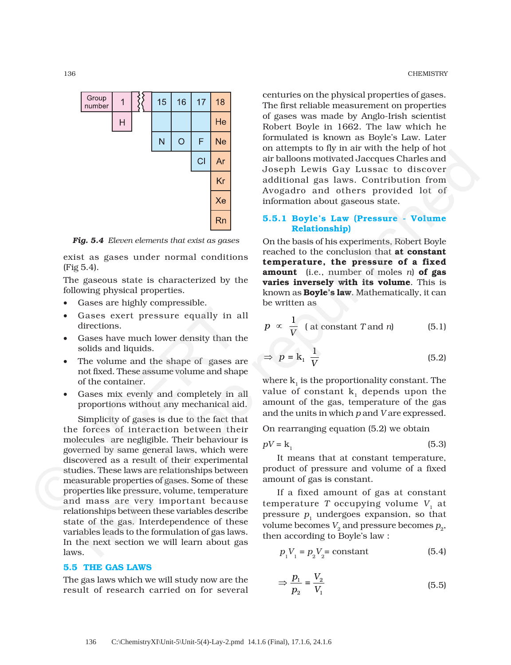

*Fig. 5.4 Eleven elements that exist as gases*

exist as gases under normal conditions (Fig 5.4).

The gaseous state is characterized by the following physical properties.

- Gases are highly compressible.
- Gases exert pressure equally in all directions.
- Gases have much lower density than the solids and liquids.
- The volume and the shape of gases are not fixed. These assume volume and shape of the container.
- Gases mix evenly and completely in all proportions without any mechanical aid.

Simplicity of gases is due to the fact that the forces of interaction between their molecules are negligible. Their behaviour is governed by same general laws, which were discovered as a result of their experimental studies. These laws are relationships between measurable properties of gases. Some of these properties like pressure, volume, temperature and mass are very important because relationships between these variables describe state of the gas. Interdependence of these variables leads to the formulation of gas laws. In the next section we will learn about gas laws. • Gases exert pressure equally in a directions.<br>
• Gases have much lower density than tl solids and liquids.<br>
• The volume and the shape of gases a not fixed. These assume volume and shape of gases a not fixed. These assum CI Ar<br>
an this<br>loop and word and word and was considered to be republished only the stand<br>
of the standard as laws contribution from<br>  $\frac{1}{2}$  and standard as laws contribution from<br>  $\frac{1}{2}$  and standard as laws contri

## **5.5 THE GAS LAWS**

The gas laws which we will study now are the result of research carried on for several

136 CHEMISTRY

centuries on the physical properties of gases. The first reliable measurement on properties of gases was made by Anglo-Irish scientist Robert Boyle in 1662. The law which he formulated is known as Boyle's Law. Later on attempts to fly in air with the help of hot air balloons motivated Jaccques Charles and Joseph Lewis Gay Lussac to discover additional gas laws. Contribution from Avogadro and others provided lot of information about gaseous state.

# **5.5.1 Boyle's Law (Pressure - Volume Relationship)**

On the basis of his experiments, Robert Boyle reached to the conclusion that **at constant temperature, the pressure of a fixed amount** (i.e., number of moles *n*) **of gas varies inversely with its volume**. This is known as **Boyle's law**. Mathematically, it can be written as

$$
p \propto \frac{1}{V} \text{ (at constant } T \text{ and } n \text{)}
$$
 (5.1)

$$
\Rightarrow \ p = \mathbf{k}_1 \ \frac{1}{V} \tag{5.2}
$$

where  $k_1$  is the proportionality constant. The value of constant  $k_1$  depends upon the amount of the gas, temperature of the gas and the units in which *p* and *V* are expressed.

On rearranging equation (5.2) we obtain

$$
pV = k_1 \tag{5.3}
$$

It means that at constant temperature, product of pressure and volume of a fixed amount of gas is constant.

If a fixed amount of gas at constant temperature  $T$  occupying volume  $V_1$  at pressure  $p_1$  undergoes expansion, so that volume becomes  $V_2$  and pressure becomes  $p_2$ , then according to Boyle's law :

$$
p_1 V_1 = p_2 V_2 = \text{constant} \tag{5.4}
$$

$$
\Rightarrow \frac{p_1}{p_2} = \frac{V_2}{V_1} \tag{5.5}
$$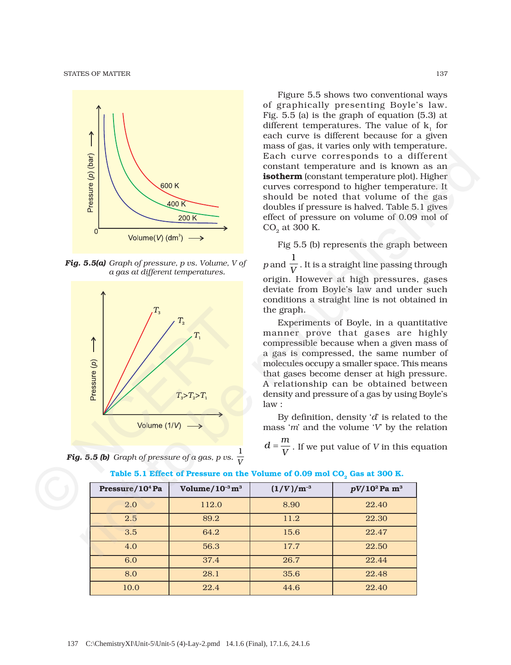STATES OF MATTER 137



*Fig. 5.5(a) Graph of pressure, p vs. Volume, V of a gas at different temperatures.*





Figure 5.5 shows two conventional ways of graphically presenting Boyle's law. Fig. 5.5 (a) is the graph of equation (5.3) at different temperatures. The value of  $k_1$  for each curve is different because for a given mass of gas, it varies only with temperature. Each curve corresponds to a different constant temperature and is known as an **isotherm** (constant temperature plot). Higher curves correspond to higher temperature. It should be noted that volume of the gas doubles if pressure is halved. Table 5.1 gives effect of pressure on volume of 0.09 mol of  $CO<sub>2</sub>$  at 300 K.

Fig 5.5 (b) represents the graph between *p* and 1  $\overline{V}$  . It is a straight line passing through origin. However at high pressures, gases deviate from Boyle's law and under such conditions a straight line is not obtained in the graph.

Experiments of Boyle, in a quantitative manner prove that gases are highly compressible because when a given mass of a gas is compressed, the same number of molecules occupy a smaller space. This means that gases become denser at high pressure. A relationship can be obtained between density and pressure of a gas by using Boyle's law :

By definition, density '*d*' is related to the mass '*m*' and the volume '*V*' by the relation

 $d = \frac{m}{V}$ . If we put value of *V* in this equation

| Pressure/10 <sup>4</sup> Pa | Volume/ $10^{-3}$ m <sup>3</sup> | $(1/V)/m^{-3}$ | $pV/10^2$ Pa m <sup>3</sup> |
|-----------------------------|----------------------------------|----------------|-----------------------------|
| 2.0                         | 112.0                            | 8.90           | 22.40                       |
| 2.5                         | 89.2                             | 11.2           | 22.30                       |
| 3.5                         | 64.2                             | 15.6           | 22.47                       |
| 4.0                         | 56.3                             | 17.7           | 22.50                       |
| 6.0                         | 37.4                             | 26.7           | 22.44                       |
| 8.0                         | 28.1                             | 35.6           | 22.48                       |
| 10.0                        | 22.4                             | 44.6           | 22.40                       |

Table 5.1 Effect of Pressure on the Volume of 0.09 mol CO<sub>2</sub> Gas at 300 K.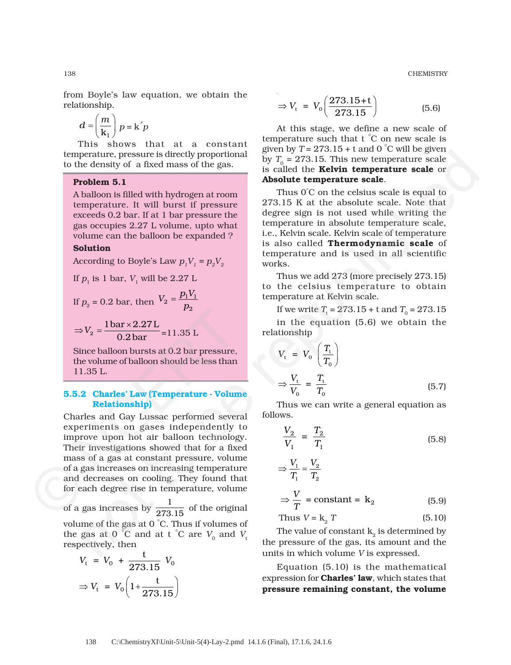138 CHEMISTRY

from Boyle's law equation, we obtain the relationship.

$$
d = \left(\frac{m}{\mathbf{k}_1}\right) p = \mathbf{k}' p
$$

This shows that at a constant temperature, pressure is directly proportional to the density of a fixed mass of the gas.

# **Problem 5.1**

A balloon is filled with hydrogen at room temperature. It will burst if pressure exceeds 0.2 bar. If at 1 bar pressure the gas occupies 2.27 L volume, upto what volume can the balloon be expanded ?

# **Solution**

According to Boyle's Law  $p_1V_1 = p_2V_2$ 

If 
$$
p_1
$$
 is 1 bar,  $V_1$  will be 2.27 L  
\nIf  $p_2 = 0.2$  bar, then  $V_2 = \frac{p_1 V_1}{p_2}$   
\n $\Rightarrow V_2 = \frac{1 \text{bar} \times 2.27 \text{ L}}{0.2 \text{bar}} = 11.35 \text{ L}$ 

0.2bar

Since balloon bursts at 0.2 bar pressure, the volume of balloon should be less than 11.35 L.

#### **5.5.2 Charles' Law (Temperature - Volume Relationship)**

Charles and Gay Lussac performed several experiments on gases independently to improve upon hot air balloon technology. Their investigations showed that for a fixed mass of a gas at constant pressure, volume of a gas increases on increasing temperature and decreases on cooling. They found that for each degree rise in temperature, volume  $P_2$ <br>  $\Rightarrow V_2 = \frac{1 \text{ bar} \times 2.27 \text{ L}}{0.2 \text{ bar}} = 11.35 \text{ L}$ <br>
Since balloon bursts at 0.2 bar pressure,<br>
the volume of balloon should be less than<br>
11.35 L.<br>
5.5.2 Charles' Law (Temperature - Volum<br>
Relationship)<br>
Charles an

of a gas increases by  $\frac{1}{273.15}$  of the original volume of the gas at 0 ° C. Thus if volumes of the gas at 0 °C and at t °C are  $V_0$  and  $V_1$ respectively, then

$$
V_{\rm t} = V_0 + \frac{\rm t}{273.15} V_0
$$

$$
\Rightarrow V_{\rm t} = V_0 \left( 1 + \frac{\rm t}{273.15} \right)
$$

$$
\Rightarrow V_{t} = V_{0} \left( \frac{273.15 + t}{273.15} \right) \tag{5.6}
$$

At this stage, we define a new scale of temperature such that t ° C on new scale is given by  $T = 273.15 + t$  and 0  $^{\circ}$ C will be given by  $T_0 = 273.15$ . This new temperature scale is called the **Kelvin temperature scale** or **Absolute temperature scale**.

Thus 0°C on the celsius scale is equal to 273.15 K at the absolute scale. Note that degree sign is not used while writing the temperature in absolute temperature scale, i.e., Kelvin scale. Kelvin scale of temperature is also called **Thermodynamic scale** of temperature and is used in all scientific works. perculture, pressure is directly proportional given by  $T_a = 2.5$ , the reaction of the republished proportional given by  $T_a = 273.15$ . This new temperature scale or **orbital starting controller and the starting temperatu** 

Thus we add 273 (more precisely 273.15) to the celsius temperature to obtain temperature at Kelvin scale.

If we write  $T_{\text{t}} = 273.15 + \text{t}$  and  $T_{\text{0}} = 273.15$ 

in the equation (5.6) we obtain the relationship

$$
V_{t} = V_{0} \left(\frac{T_{t}}{T_{0}}\right)
$$

$$
\Rightarrow \frac{V_{t}}{V_{0}} = \frac{T_{t}}{T_{0}}
$$
(5.7)

Thus we can write a general equation as follows.

$$
\frac{V_2}{V_1} = \frac{T_2}{T_1}
$$
 (5.8)

$$
\Rightarrow \frac{V_1}{T_1} = \frac{V_2}{T_2}
$$
  
\n
$$
\Rightarrow \frac{V}{T} = \text{constant} = \mathbf{k}_2 \tag{5.9}
$$

Thus 
$$
V = k_2 T
$$
 (5.10)

The value of constant  $k_2$  is determined by the pressure of the gas, its amount and the units in which volume *V* is expressed.

Equation (5.10) is the mathematical expression for **Charles' law**, which states that **pressure remaining constant, the volume**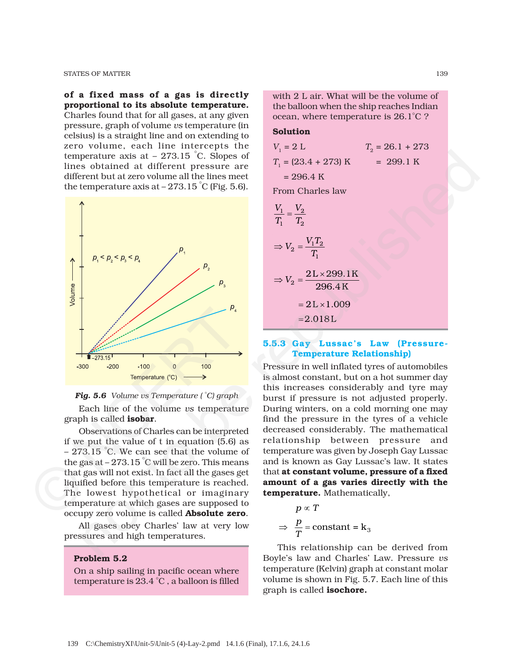STATES OF MATTER 139

**of a fixed mass of a gas is directly proportional to its absolute temperature.** Charles found that for all gases, at any given pressure, graph of volume *vs* temperature (in celsius) is a straight line and on extending to zero volume, each line intercepts the temperature axis at – 273.15 ° C. Slopes of lines obtained at different pressure are different but at zero volume all the lines meet the temperature axis at –  $273.15\degree \text{C}$  (Fig. 5.6).





Each line of the volume *vs* temperature graph is called **isobar**.

Observations of Charles can be interpreted if we put the value of t in equation (5.6) as – 273.15 ° C. We can see that the volume of the gas at – 273.15 ° C will be zero. This means that gas will not exist. In fact all the gases get liquified before this temperature is reached. The lowest hypothetical or imaginary temperature at which gases are supposed to occupy zero volume is called **Absolute zero**. Fig. 5.6 Volume us Temperature (°C)  $\rightarrow$ <br>
Fig. 5.6 Volume us Temperature (°C) graph<br>
Fig. 5.6 Volume us Temperature (°C) graph<br>
Each line of the volume us temperature<br>
graph is called **isobar**.<br>
Observations of Charles ca

> All gases obey Charles' law at very low pressures and high temperatures.

#### **Problem 5.2**

On a ship sailing in pacific ocean where temperature is 23.4 °C , a balloon is filled

with 2 L air. What will be the volume of the balloon when the ship reaches Indian ocean, where temperature is 26.1°C ?

# **Solution**

$$
V_1 = 2 L \t T_2 = 26.1 + 273
$$
  
\n
$$
T_1 = (23.4 + 273) K = 299.1 K
$$
  
\n= 296.4 K  
\nFrom Charles law  
\n
$$
\frac{V_1}{T_1} = \frac{V_2}{T_2}
$$

$$
\Rightarrow V_2 = \frac{V_1 T_2}{T_1}
$$
  
\n
$$
\Rightarrow V_2 = \frac{2L \times 299.1K}{296.4K}
$$
  
\n
$$
= 2L \times 1.009
$$
  
\n
$$
= 2.018L
$$

# **5.5.3 Gay Lussac's Law (Pressure-Temperature Relationship)**

Pressure in well inflated tyres of automobiles is almost constant, but on a hot summer day this increases considerably and tyre may burst if pressure is not adjusted properly. During winters, on a cold morning one may find the pressure in the tyres of a vehicle decreased considerably. The mathematical relationship between pressure and temperature was given by Joseph Gay Lussac and is known as Gay Lussac's law. It states that **at constant volume, pressure of a fixed amount of a gas varies directly with the temperature.** Mathematically,

$$
p \propto T
$$
  
\n
$$
\Rightarrow \frac{p}{T} = \text{constant} = k_3
$$

This relationship can be derived from Boyle's law and Charles' Law. Pressure *vs* temperature (Kelvin) graph at constant molar volume is shown in Fig. 5.7. Each line of this graph is called **isochore.**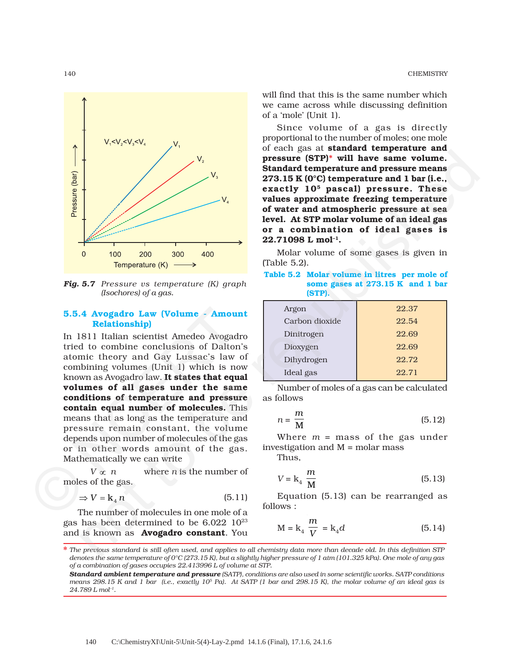

*Fig. 5.7 Pressure vs temperature (K) graph (Isochores) of a gas.*

# **5.5.4 Avogadro Law (Volume - Amount Relationship)**

In 1811 Italian scientist Amedeo Avogadro tried to combine conclusions of Dalton's atomic theory and Gay Lussac's law of combining volumes (Unit 1) which is now known as Avogadro law. **It states that equal volumes of all gases under the same conditions of temperature and pressure contain equal number of molecules.** This means that as long as the temperature and pressure remain constant, the volume depends upon number of molecules of the gas or in other words amount of the gas. Mathematically we can write **5.5.4 Avogadro Law (Volume - Amoum Relationship)**<br>
In 1811 Italian scientist Amedeo Avogad<br>
tried to combine conclusions of Dalton<br>
atomic theory and Gay Lussac's law<br>
combining volumes (Unit 1) which is no<br>
known as Avo

 $V \propto n$  where *n* is the number of moles of the gas.

$$
\Rightarrow V = \mathbf{k}_4 \, n \tag{5.11}
$$

The number of molecules in one mole of a gas has been determined to be 6.022 1023 and is known as **Avogadro constant**. You will find that this is the same number which we came across while discussing definition of a 'mole' (Unit 1).

Since volume of a gas is directly proportional to the number of moles; one mole of each gas at **standard temperature and pressure (STP)\* will have same volume. Standard temperature and pressure means 273.15 K (0°C) temperature and 1 bar (i.e., exactly 105 pascal) pressure. These values approximate freezing temperature of water and atmospheric pressure at sea level. At STP molar volume of an ideal gas or a combination of ideal gases is 22.71098 L mol–1.**

Molar volume of some gases is given in (Table 5.2).

### **Table 5.2 Molar volume in litres per mole of some gases at 273.15 K and 1 bar (STP).**

| Argon          | 22.37 |
|----------------|-------|
| Carbon dioxide | 22.54 |
| Dinitrogen     | 22.69 |
| Dioxygen       | 22.69 |
| Dihydrogen     | 22.72 |
| Ideal gas      | 22.71 |
|                |       |

Number of moles of a gas can be calculated as follows

$$
n = \frac{m}{M} \tag{5.12}
$$

Where *m* = mass of the gas under investigation and M = molar mass

Thus,

$$
V = k_4 \frac{m}{M}
$$
 (5.13)

Equation (5.13) can be rearranged as follows :

$$
M = k_4 \frac{m}{V} = k_4 d \tag{5.14}
$$

*The previous standard is still often used, and applies to all chemistry data more than decade old. In this definition STP* \* *denotes the same temperature of 0°C (273.15 K), but a slightly higher pressure of 1 atm (101.325 kPa). One mole of any gas of a combination of gases occupies 22.413996 L of volume at STP.*

*Standard ambient temperature and pressure (SATP), conditions are also used in some scientific works. SATP conditions means 298.15 K and 1 bar (i.e., exactly 105 Pa). At SATP (1 bar and 298.15 K), the molar volume of an ideal gas is 24.789 L mol–1.*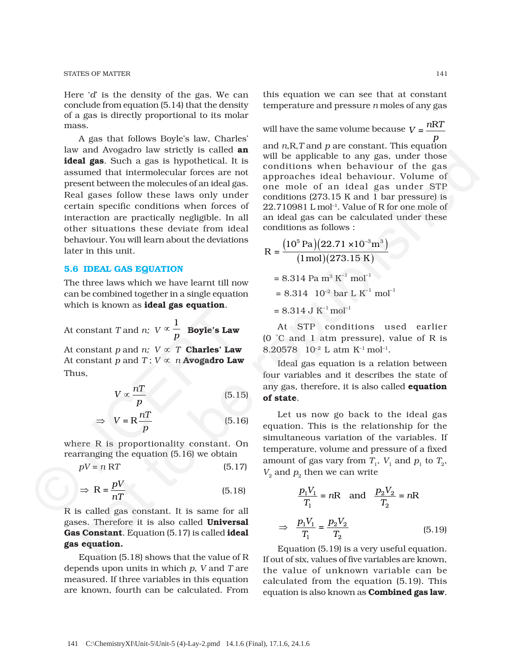Here '*d*' is the density of the gas. We can conclude from equation (5.14) that the density of a gas is directly proportional to its molar mass.

A gas that follows Boyle's law, Charles' law and Avogadro law strictly is called **an ideal gas**. Such a gas is hypothetical. It is assumed that intermolecular forces are not present between the molecules of an ideal gas. Real gases follow these laws only under certain specific conditions when forces of interaction are practically negligible. In all other situations these deviate from ideal behaviour. You will learn about the deviations later in this unit. and Awayaguro law stretche and the splitch is conditions when behaviour of the gas<br>and **gas.** Such a gas is hypothedral. It is conditions when behaviour of the gas<br>sent between the molecules of an ideal gas one mole of an

### **5.6 IDEAL GAS EQUATION**

The three laws which we have learnt till now can be combined together in a single equation which is known as **ideal gas equation**.

At constant *T* and *n; V*  $\propto \frac{1}{p}$  Boyle's Law

At constant *p* and *n*;  $V \propto T$  **Charles' Law** At constant *p* and *T* ;  $V \propto n$  **Avogadro Law** Thus, At constant *T* and *n*;  $V \propto \frac{1}{p}$  **Boyle's Law**<br>
At constant *p* and *n*;  $V \propto T$  **Charles' Law**<br>
At constant *p* and *T*;  $V \propto n$  **Avogadro Lav**<br>
Thus,<br>  $V \propto \frac{nT}{p}$  (5.1<br>  $\Rightarrow V = R \frac{nT}{p}$  (5.1<br>
where *R* is proporti

$$
V \propto \frac{nT}{p} \tag{5.15}
$$

$$
\Rightarrow \quad V = R \frac{nT}{p} \tag{5.16}
$$

where R is proportionality constant. On rearranging the equation (5.16) we obtain

 $pV = n RT$  (5.17)

$$
\Rightarrow R = \frac{pV}{nT} \tag{5.18}
$$

R is called gas constant. It is same for all gases. Therefore it is also called **Universal Gas Constant**. Equation (5.17) is called **ideal gas equation.**

Equation (5.18) shows that the value of R depends upon units in which *p*, *V* and *T* are measured. If three variables in this equation are known, fourth can be calculated. From

this equation we can see that at constant temperature and pressure *n* moles of any gas

will have the same volume because  $V = \frac{nRT}{2}$ *p* and *n*,R,*T* and *p* are constant. This equation will be applicable to any gas, under those conditions when behaviour of the gas approaches ideal behaviour. Volume of one mole of an ideal gas under STP conditions (273.15 K and 1 bar pressure) is 22.710981 L mol–1. Value of R for one mole of an ideal gas can be calculated under these conditions as follows :

$$
R = \frac{(10^5 \text{ Pa})(22.71 \times 10^{-3} \text{m}^3)}{(1 \text{ mol})(273.15 \text{ K})}
$$
  
= 8.314 Pa m<sup>3</sup> K<sup>-1</sup> mol<sup>-1</sup>  
= 8.314 10<sup>-2</sup> bar L K<sup>-1</sup> mol<sup>-1</sup>  
= 8.314 J K<sup>-1</sup> mol<sup>-1</sup>

At STP conditions used earlier (0 °C and 1 atm pressure), value of R is 8.20578 10<sup>-2</sup> L atm K<sup>-1</sup> mol<sup>-1</sup>.

Ideal gas equation is a relation between four variables and it describes the state of any gas, therefore, it is also called **equation of state**.

Let us now go back to the ideal gas equation. This is the relationship for the simultaneous variation of the variables. If temperature, volume and pressure of a fixed amount of gas vary from  $T_1$ ,  $V_1$  and  $p_1$  to  $T_2$ ,  $V<sub>2</sub>$  and  $p<sub>2</sub>$  then we can write

$$
\frac{p_1 V_1}{T_1} = nR \quad \text{and} \quad \frac{p_2 V_2}{T_2} = nR
$$

$$
\Rightarrow \quad \frac{p_1 V_1}{T_1} = \frac{p_2 V_2}{T_2} \tag{5.19}
$$

Equation (5.19) is a very useful equation. If out of six, values of five variables are known, the value of unknown variable can be calculated from the equation (5.19). This equation is also known as **Combined gas law**.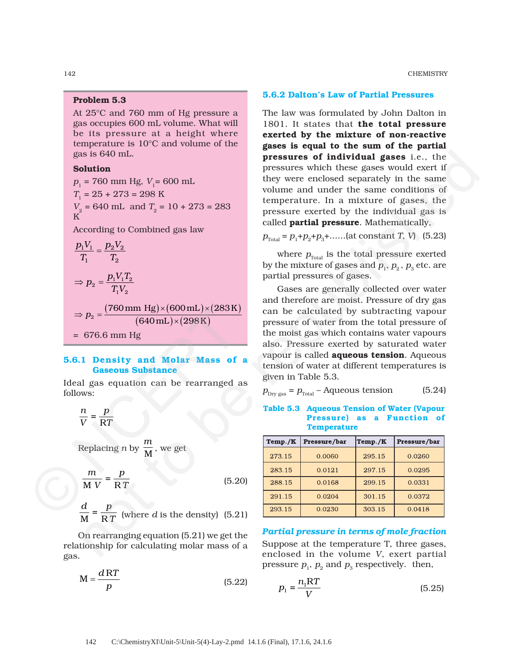142 CHEMISTRY

# **Problem 5.3**

At 25°C and 760 mm of Hg pressure a gas occupies 600 mL volume. What will be its pressure at a height where temperature is 10°C and volume of the gas is 640 mL.

# **Solution**

 $p_1$  = 760 mm Hg,  $V_1$  = 600 mL *T*1 = 25 + 273 = 298 K *V*<sub>2</sub> = 640 mL and  $T$ <sub>2</sub> = 10 + 273 = 283 K According to Combined gas law  $\frac{1 \cdot 1}{2} - \frac{12 \cdot 2}{2}$  $1 \t 12$  $\frac{p_1 V_1}{T} = \frac{p_2 V}{T}$  $T_1$  *T*  $\frac{P_1' \cdot 1^2}{T V}$  $1$   $^{\prime}$  2  $\Rightarrow p_2 = \frac{p_1 V_1 T}{T_1 V_2}$  $(760\,\mathrm{mm\;Hg}) {\times} (600\,\mathrm{mL}) {\times} (283\,\mathrm{K})$ ( )( ) <sup>2</sup> 760 mm Hg)×(600 mL)×(283 K  $640\,\mathrm{mL}$ ) $\times$ (298 K  $\Rightarrow p_2 = \frac{(760 \text{ mm Hg}) \times (600 \text{ mL}) \times}{(200 \text{ Hz}) \times (200 \text{ Hz})}$  $p_2 = \frac{(1.00 \text{ mJ})/(1.00 \text{ mJ}) \times (640 \text{ mJ}) \times (1.00 \text{ mJ}) \times (640 \text{ mJ}) \times (640 \text{ mJ}) \times (640 \text{ mJ}) \times (640 \text{ mJ}) \times (640 \text{ mJ}) \times (640 \text{ mJ}) \times (640 \text{ mJ}) \times (640 \text{ mJ}) \times (640 \text{ mJ}) \times (640 \text{ mJ}) \times (640 \text{ mJ}) \times (640 \text{ mJ}) \times (640 \text{ mJ}) \times (640 \text{ mJ$ as is 640 mL.<br> **original gives the columning and set is to the river condend separation in the same of the river condense of the river condense space.**<br>  $\frac{1}{2} = 25 + 273 = 288$  temperature. In a mixture of gases, the cond

= 676.6 mm Hg

# **5.6.1 Density and Molar Mass of a Gaseous Substance**

Ideal gas equation can be rearranged as follows:

$$
\frac{n}{V} = \frac{p}{RT}
$$

Replacing *n* by *m* , we get

$$
\Rightarrow p_2 = \frac{(760 \text{ mm Hg}) \times (600 \text{ mL}) \times (283 \text{ K})}{(640 \text{ mL}) \times (298 \text{ K})}
$$
  
= 676.6 mm Hg  
5.6.1 Density and Molar Mass of a  
Gaseous Substance  
Ideal gas equation can be rearranged as  
follows:  

$$
\frac{n}{V} = \frac{p}{RT}
$$
  
Replacing *n* by  $\frac{m}{M}$ , we get  

$$
\frac{m}{M V} = \frac{p}{RT}
$$
 (5.20)  

$$
\frac{d}{M} = \frac{p}{P T}
$$
 (where *d* is the density) (5.21)

$$
\frac{d}{M} = \frac{p}{RT}
$$
 (where *d* is the density) (5.21)

On rearranging equation (5.21) we get the relationship for calculating molar mass of a gas.

$$
M = \frac{dRT}{p}
$$
 (5.22)

#### **5.6.2 Dalton's Law of Partial Pressures**

The law was formulated by John Dalton in 1801. It states that **the total pressure exerted by the mixture of non-reactive gases is equal to the sum of the partial pressures of individual gases** i.e., the pressures which these gases would exert if they were enclosed separately in the same volume and under the same conditions of temperature. In a mixture of gases, the pressure exerted by the individual gas is called **partial pressure**. Mathematically,

 $p_{\text{Total}} = p_1 + p_2 + p_3 + \dots$  (at constant *T*, *V*) (5.23)

where  $p_{\text{Total}}$  is the total pressure exerted by the mixture of gases and  $p_1$ ,  $p_2$ ,  $p_3$  etc. are partial pressures of gases.

Gases are generally collected over water and therefore are moist. Pressure of dry gas can be calculated by subtracting vapour pressure of water from the total pressure of the moist gas which contains water vapours also. Pressure exerted by saturated water vapour is called **aqueous tension**. Aqueous tension of water at different temperatures is given in Table 5.3.

$$
p_{\text{Dry gas}} = p_{\text{Total}} - \text{Aqueous tension} \tag{5.24}
$$

**Table 5.3 Aqueous Tension of Water (Vapour Pressure) as a Function of Temperature**

| Temp./K | Pressure/bar | Temp./K | Pressure/bar |
|---------|--------------|---------|--------------|
| 273.15  | 0.0060       | 295.15  | 0.0260       |
| 283.15  | 0.0121       | 297.15  | 0.0295       |
| 288.15  | 0.0168       | 299.15  | 0.0331       |
| 291.15  | 0.0204       | 301.15  | 0.0372       |
| 293.15  | 0.0230       | 303.15  | 0.0418       |

*Partial pressure in terms of mole fraction* Suppose at the temperature T, three gases, enclosed in the volume *V*, exert partial pressure  $p_1$ ,  $p_2$  and  $p_3$  respectively. then,

$$
p_1 = \frac{n_1 RT}{V} \tag{5.25}
$$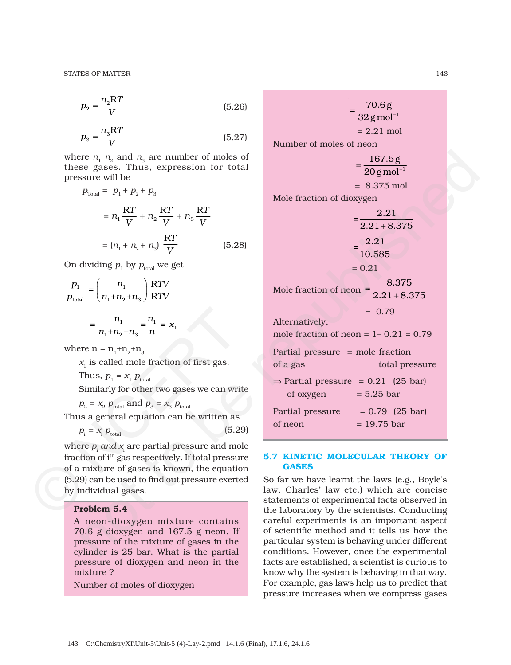$$
p_2 = \frac{n_2 RT}{V} \tag{5.26}
$$

$$
p_3 = \frac{n_3 RT}{V} \tag{5.27}
$$

where  $n_1$ ,  $n_2$  and  $n_3$  are number of moles of these gases. Thus, expression for total pressure will be

$$
p_{\text{Total}} = p_1 + p_2 + p_3
$$
  
=  $n_1 \frac{\text{RT}}{V} + n_2 \frac{\text{RT}}{V} + n_3 \frac{\text{RT}}{V}$   
=  $(n_1 + n_2 + n_3) \frac{\text{RT}}{V}$  (5.28)

On dividing  $p_1$  by  $p_{total}$  we get

$$
\frac{p_1}{p_{\text{total}}} = \left(\frac{n_1}{n_1 + n_2 + n_3}\right) \frac{\text{RTV}}{\text{RTV}}
$$

$$
= \frac{n_1}{n_1 + n_2 + n_3} = \frac{n_1}{n} = x_1
$$

where  $n = n_1+n_2+n_3$ 

 $x<sub>1</sub>$  is called mole fraction of first gas.

Thus,  $p_1 = x_1 p_{\text{total}}$ 

Similarly for other two gases we can write

 $p_2 = x_2 p_{total}$  and  $p_3 = x_3 p_{total}$ Thus a general equation can be written as

$$
p_{\rm i} = x_{\rm i} \, p_{\rm total} \tag{5.29}
$$

where  $p_{_{\rm i}}$  *and x*<sub>i</sub> are partial pressure and mole fraction of ith gas respectively. If total pressure of a mixture of gases is known, the equation (5.29) can be used to find out pressure exerted by individual gases.  $=\frac{n_1}{n_1+n_2+n_3} = \frac{n_1}{n} = x_1$ <br>
where  $n = n_1+n_2+n_3$ <br>  $x_1$  is called mole fraction of first gas.<br>
Thus,  $p_1 = x_1 p_{total}$ <br>
Similarly for other two gases we can write<br>  $p_2 = x_2 p_{total}$  and  $p_3 = x_3 p_{total}$ <br>
Thus a general equation

#### **Problem 5.4**

A neon-dioxygen mixture contains 70.6 g dioxygen and 167.5 g neon. If pressure of the mixture of gases in the cylinder is 25 bar. What is the partial pressure of dioxygen and neon in the mixture ?

Number of moles of dioxygen

 $= \frac{70.6 \text{ g}}{32 \text{ g mol}^{-1}}$  $= 2.21$  mol Number of moles of neon  $=\frac{167.5g}{20g{\rm mol}^{-1}}$  = 8.375 mol Mole fraction of dioxygen  $=\frac{2.21}{2.21}$  $2.21 + 8.375$  $2.21$ 10.585  $= 0.21$ Mole fraction of neon  $\frac{8.375}{2.21 + 8.375}$  $= 0.79$ Alternatively, mole fraction of neon  $= 1 - 0.21 = 0.79$ Partial pressure = mole fraction of a gas total pressure  $\Rightarrow$  Partial pressure = 0.21 (25 bar) of oxygen  $= 5.25$  bar Partial pressure  $= 0.79$  (25 bar) er  $\alpha$ ,  $n_3$  and  $n_4$  are number of moles of<br>
setter will be<br>  $\theta$ ,  $n_5$  and  $n_6$  and  $n_7$  be republished and  $n_7$  be republished and  $n_8$  and  $n_9$  be republished and  $n_9$  of  $n_9$  and  $n_8$  and  $n_9$  be republi

#### **5.7 KINETIC MOLECULAR THEORY OF GASES**

of neon  $= 19.75$  bar

So far we have learnt the laws (e.g., Boyle's law, Charles' law etc.) which are concise statements of experimental facts observed in the laboratory by the scientists. Conducting careful experiments is an important aspect of scientific method and it tells us how the particular system is behaving under different conditions. However, once the experimental facts are established, a scientist is curious to know why the system is behaving in that way. For example, gas laws help us to predict that pressure increases when we compress gases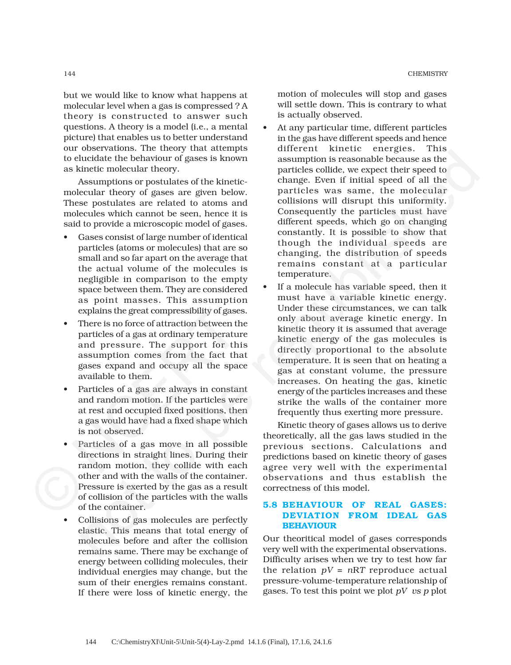but we would like to know what happens at molecular level when a gas is compressed ? A theory is constructed to answer such questions. A theory is a model (i.e., a mental picture) that enables us to better understand our observations. The theory that attempts to elucidate the behaviour of gases is known as kinetic molecular theory.

Assumptions or postulates of the kineticmolecular theory of gases are given below. These postulates are related to atoms and molecules which cannot be seen, hence it is said to provide a microscopic model of gases.

- Gases consist of large number of identical particles (atoms or molecules) that are so small and so far apart on the average that the actual volume of the molecules is negligible in comparison to the empty space between them. They are considered as point masses. This assumption explains the great compressibility of gases.
- There is no force of attraction between the particles of a gas at ordinary temperature and pressure. The support for this assumption comes from the fact that gases expand and occupy all the space available to them.
- Particles of a gas are always in constant and random motion. If the particles were at rest and occupied fixed positions, then a gas would have had a fixed shape which is not observed.
- Particles of a gas move in all possible directions in straight lines. During their random motion, they collide with each other and with the walls of the container. Pressure is exerted by the gas as a result of collision of the particles with the walls of the container. complete the great compressibility of gase<br>
• There is no force of attraction between the particles of a gas at ordinary temperature and pressure. The support for the assumption comes from the fact the gases expand and occ
	- Collisions of gas molecules are perfectly elastic. This means that total energy of molecules before and after the collision remains same. There may be exchange of energy between colliding molecules, their individual energies may change, but the sum of their energies remains constant. If there were loss of kinetic energy, the

motion of molecules will stop and gases will settle down. This is contrary to what is actually observed.

- At any particular time, different particles in the gas have different speeds and hence different kinetic energies. This assumption is reasonable because as the particles collide, we expect their speed to change. Even if initial speed of all the particles was same, the molecular collisions will disrupt this uniformity. Consequently the particles must have different speeds, which go on changing constantly. It is possible to show that though the individual speeds are changing, the distribution of speeds remains constant at a particular temperature.
- If a molecule has variable speed, then it must have a variable kinetic energy. Under these circumstances, we can talk only about average kinetic energy. In kinetic theory it is assumed that average kinetic energy of the gas molecules is directly proportional to the absolute temperature. It is seen that on heating a gas at constant volume, the pressure increases. On heating the gas, kinetic energy of the particles increases and these strike the walls of the container more frequently thus exerting more pressure. oseiences. The matrix of the matrix of the particles of the particle contents are proportional and the particle contents are proportional and the expect their speed to the semi-term of gases is known assumption is record

Kinetic theory of gases allows us to derive theoretically, all the gas laws studied in the previous sections. Calculations and predictions based on kinetic theory of gases agree very well with the experimental observations and thus establish the correctness of this model.

# **5.8 BEHAVIOUR OF REAL GASES: DEVIATION FROM IDEAL GAS BEHAVIOUR**

Our theoritical model of gases corresponds very well with the experimental observations. Difficulty arises when we try to test how far the relation  $pV = nRT$  reproduce actual pressure-volume-temperature relationship of gases. To test this point we plot *pV vs p* plot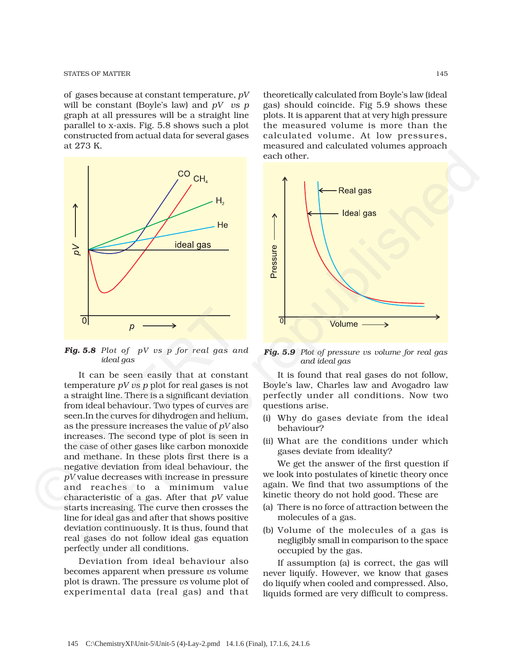of gases because at constant temperature, *pV* will be constant (Boyle's law) and *pV vs p* graph at all pressures will be a straight line parallel to x-axis. Fig. 5.8 shows such a plot constructed from actual data for several gases at 273 K.



*Fig. 5.8 Plot of pV vs p for real gas and ideal gas*

It can be seen easily that at constant temperature *pV vs p* plot for real gases is not a straight line. There is a significant deviation from ideal behaviour. Two types of curves are seen.In the curves for dihydrogen and helium, as the pressure increases the value of *pV* also increases. The second type of plot is seen in the case of other gases like carbon monoxide and methane. In these plots first there is a negative deviation from ideal behaviour, the *pV* value decreases with increase in pressure and reaches to a minimum value characteristic of a gas. After that *pV* value starts increasing. The curve then crosses the line for ideal gas and after that shows positive deviation continuously. It is thus, found that real gases do not follow ideal gas equation perfectly under all conditions. **Fig. 5.8** Plot of pV us p for real gas an ideal gas<br>
It can be seen easily that at constant temperature  $pV$  us p for real gases is not at temperature  $pV$  us p plot for real gases is not a straight line. There is a sign

> Deviation from ideal behaviour also becomes apparent when pressure *vs* volume plot is drawn. The pressure *vs* volume plot of experimental data (real gas) and that

theoretically calculated from Boyle's law (ideal gas) should coincide. Fig 5.9 shows these plots. It is apparent that at very high pressure the measured volume is more than the calculated volume. At low pressures, measured and calculated volumes approach each other.



*Fig. 5.9 Plot of pressure vs volume for real gas and ideal gas*

It is found that real gases do not follow, Boyle's law, Charles law and Avogadro law perfectly under all conditions. Now two questions arise.

- (i) Why do gases deviate from the ideal behaviour?
- (ii) What are the conditions under which gases deviate from ideality?

We get the answer of the first question if we look into postulates of kinetic theory once again. We find that two assumptions of the kinetic theory do not hold good. These are

- (a) There is no force of attraction between the molecules of a gas.
- (b) Volume of the molecules of a gas is negligibly small in comparison to the space occupied by the gas.

If assumption (a) is correct, the gas will never liquify. However, we know that gases do liquify when cooled and compressed. Also, liquids formed are very difficult to compress.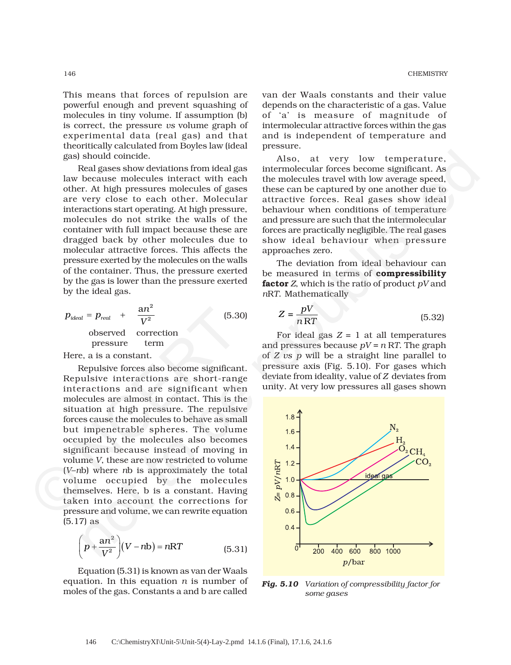This means that forces of repulsion are powerful enough and prevent squashing of molecules in tiny volume. If assumption (b) is correct, the pressure *vs* volume graph of experimental data (real gas) and that theoritically calculated from Boyles law (ideal gas) should coincide.

Real gases show deviations from ideal gas law because molecules interact with each other. At high pressures molecules of gases are very close to each other. Molecular interactions start operating. At high pressure, molecules do not strike the walls of the container with full impact because these are dragged back by other molecules due to molecular attractive forces. This affects the pressure exerted by the molecules on the walls of the container. Thus, the pressure exerted by the gas is lower than the pressure exerted by the ideal gas.

$$
p_{ideal} = p_{real} + \frac{an^2}{V^2}
$$
 (5.30)  
observed correction pressure term

Here, a is a constant.

Repulsive forces also become significant. Repulsive interactions are short-range interactions and are significant when molecules are almost in contact. This is the situation at high pressure. The repulsive forces cause the molecules to behave as small but impenetrable spheres. The volume occupied by the molecules also becomes significant because instead of moving in volume *V*, these are now restricted to volume (*V*–*n*b) where *n*b is approximately the total volume occupied by the molecules themselves. Here, b is a constant. Having taken into account the corrections for pressure and volume, we can rewrite equation (5.17) as  $p_{ideal} = p_{real} + \frac{an^2}{V^2}$  (5.3<br>
observed correction<br>
pressure term<br>
Here, a is a constant.<br>
Repulsive forces also become significar<br>
Repulsive interactions are short-rang<br>
interactions and are significant whe<br>
molecules are

$$
\left(p + \frac{an^2}{V^2}\right)(V - nb) = nRT
$$
 (5.31)

Equation (5.31) is known as van der Waals equation. In this equation *n* is number of moles of the gas. Constants a and b are called

van der Waals constants and their value depends on the characteristic of a gas. Value of 'a' is measure of magnitude of intermolecular attractive forces within the gas and is independent of temperature and pressure.

Also, at very low temperature, intermolecular forces become significant. As the molecules travel with low average speed, these can be captured by one another due to attractive forces. Real gases show ideal behaviour when conditions of temperature and pressure are such that the intermolecular forces are practically negligible. The real gases show ideal behaviour when pressure approaches zero.

The deviation from ideal behaviour can be measured in terms of **compressibility factor** *Z*, which is the ratio of product *pV* and *n*R*T*. Mathematically

$$
Z = \frac{pV}{nRT}
$$
 (5.32)

For ideal gas  $Z = 1$  at all temperatures and pressures because  $pV = n RT$ . The graph of *Z vs p* will be a straight line parallel to pressure axis (Fig. 5.10). For gases which deviate from ideality, value of *Z* deviates from unity. At very low pressures all gases shown



*Fig. 5.10 Variation of compressibility factor for some gases*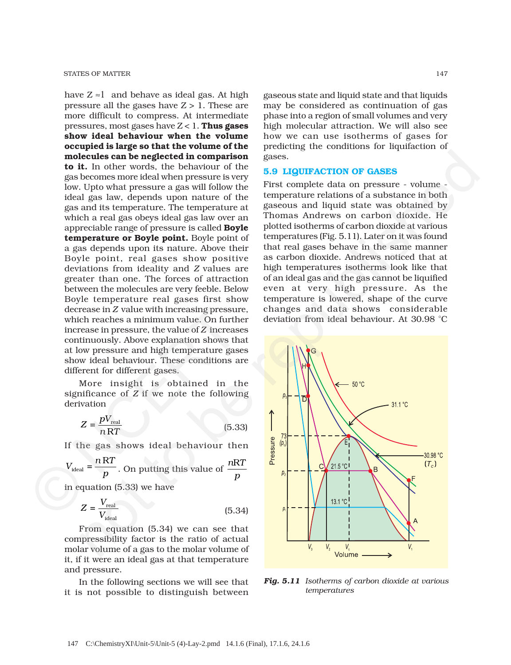have  $Z \approx 1$  and behave as ideal gas. At high pressure all the gases have  $Z > 1$ . These are more difficult to compress. At intermediate pressures, most gases have Z < 1. **Thus gases show ideal behaviour when the volume occupied is large so that the volume of the molecules can be neglected in comparison to it.** In other words, the behaviour of the gas becomes more ideal when pressure is very low. Upto what pressure a gas will follow the ideal gas law, depends upon nature of the gas and its temperature. The temperature at which a real gas obeys ideal gas law over an appreciable range of pressure is called **Boyle temperature or Boyle point.** Boyle point of a gas depends upon its nature. Above their Boyle point, real gases show positive deviations from ideality and *Z* values are greater than one. The forces of attraction between the molecules are very feeble. Below Boyle temperature real gases first show decrease in *Z* value with increasing pressure, which reaches a minimum value. On further increase in pressure, the value of *Z* increases continuously. Above explanation shows that at low pressure and high temperature gases show ideal behaviour. These conditions are different for different gases. decrease in Z value with increasing pressure<br>which reaches a minimum value. On furth<br>increase in pressure, the value of Z increase<br>continuously. Above explanation shows the<br>at low pressure and high temperature gas<br>show id

More insight is obtained in the significance of *Z* if we note the following derivation

$$
Z = \frac{pV_{\text{real}}}{nRT}
$$
 (5.33)

If the gas shows ideal behaviour then

$$
V_{\text{ideal}} = \frac{nRT}{p}
$$
. On putting this value of  $\frac{nRT}{p}$ 

in equation (5.33) we have

$$
Z = \frac{V_{\text{real}}}{V_{\text{ideal}}}
$$
 (5.34)

From equation (5.34) we can see that compressibility factor is the ratio of actual molar volume of a gas to the molar volume of it, if it were an ideal gas at that temperature and pressure.

In the following sections we will see that it is not possible to distinguish between gaseous state and liquid state and that liquids may be considered as continuation of gas phase into a region of small volumes and very high molecular attraction. We will also see how we can use isotherms of gases for predicting the conditions for liquifaction of gases.

#### **5.9 LIQUIFACTION OF GASES**

First complete data on pressure - volume temperature relations of a substance in both gaseous and liquid state was obtained by Thomas Andrews on carbon dioxide. He plotted isotherms of carbon dioxide at various temperatures (Fig. 5.11). Later on it was found that real gases behave in the same manner as carbon dioxide. Andrews noticed that at high temperatures isotherms look like that of an ideal gas and the gas cannot be liquified even at very high pressure. As the temperature is lowered, shape of the curve changes and data shows considerable deviation from ideal behaviour. At 30.98 °C



*Fig. 5.11 Isotherms of carbon dioxide at various temperatures*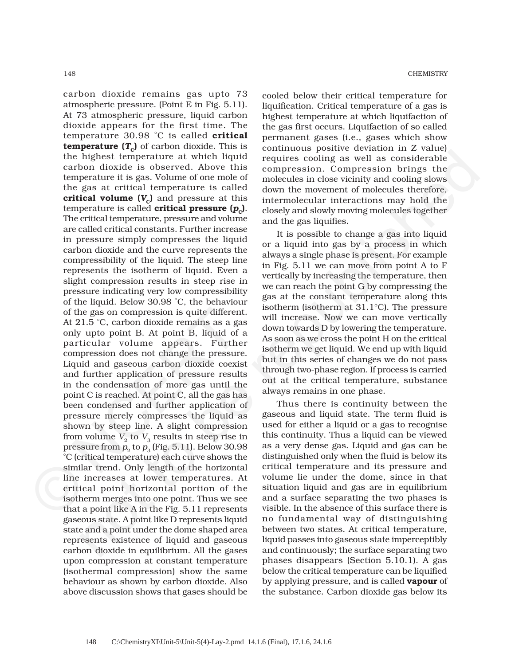carbon dioxide remains gas upto 73 atmospheric pressure. (Point E in Fig. 5.11). At 73 atmospheric pressure, liquid carbon dioxide appears for the first time. The temperature 30.98 °C is called **critical temperature**  $(T_c)$  of carbon dioxide. This is the highest temperature at which liquid carbon dioxide is observed. Above this temperature it is gas. Volume of one mole of the gas at critical temperature is called **critical volume (** $V_c$ **)** and pressure at this temperature is called **critical pressure**  $(p<sub>c</sub>)$ . The critical temperature, pressure and volume are called critical constants. Further increase in pressure simply compresses the liquid carbon dioxide and the curve represents the compressibility of the liquid. The steep line represents the isotherm of liquid. Even a slight compression results in steep rise in pressure indicating very low compressibility of the liquid. Below 30.98 °C, the behaviour of the gas on compression is quite different. At 21.5 °C, carbon dioxide remains as a gas only upto point B. At point B, liquid of a particular volume appears. Further compression does not change the pressure. Liquid and gaseous carbon dioxide coexist and further application of pressure results in the condensation of more gas until the point C is reached. At point C, all the gas has been condensed and further application of pressure merely compresses the liquid as shown by steep line. A slight compression from volume  $V_2$  to  $V_3$  results in steep rise in pressure from  $p_2$  to  $p_3$  (Fig. 5.11). Below 30.98 °C (critical temperature) each curve shows the similar trend. Only length of the horizontal line increases at lower temperatures. At critical point horizontal portion of the isotherm merges into one point. Thus we see that a point like A in the Fig. 5.11 represents gaseous state. A point like D represents liquid state and a point under the dome shaped area represents existence of liquid and gaseous carbon dioxide in equilibrium. All the gases upon compression at constant temperature (isothermal compression) show the same behaviour as shown by carbon dioxide. Also above discussion shows that gases should be of the gas on compression is quite different<br>At 21.5 °C, carbon dioxide remains as a gas only upto point B. At point B, liquid of particular volume appears. Furthe compression does not change the pressur Liquid and gaseou highest free<br>preservant at which liquids requires scoular as well as considerable<br>bon dioxide is observed. Above this requires scoular compression being the<br>gas at critical temperature is called when the movement of moder

cooled below their critical temperature for liquification. Critical temperature of a gas is highest temperature at which liquifaction of the gas first occurs. Liquifaction of so called permanent gases (i.e., gases which show continuous positive deviation in Z value) requires cooling as well as considerable compression. Compression brings the molecules in close vicinity and cooling slows down the movement of molecules therefore, intermolecular interactions may hold the closely and slowly moving molecules together and the gas liquifies.

It is possible to change a gas into liquid or a liquid into gas by a process in which always a single phase is present. For example in Fig. 5.11 we can move from point A to F vertically by increasing the temperature, then we can reach the point G by compressing the gas at the constant temperature along this isotherm (isotherm at 31.1°C). The pressure will increase. Now we can move vertically down towards D by lowering the temperature. As soon as we cross the point H on the critical isotherm we get liquid. We end up with liquid but in this series of changes we do not pass through two-phase region. If process is carried out at the critical temperature, substance always remains in one phase.

Thus there is continuity between the gaseous and liquid state. The term fluid is used for either a liquid or a gas to recognise this continuity. Thus a liquid can be viewed as a very dense gas. Liquid and gas can be distinguished only when the fluid is below its critical temperature and its pressure and volume lie under the dome, since in that situation liquid and gas are in equilibrium and a surface separating the two phases is visible. In the absence of this surface there is no fundamental way of distinguishing between two states. At critical temperature, liquid passes into gaseous state imperceptibly and continuously; the surface separating two phases disappears (Section 5.10.1). A gas below the critical temperature can be liquified by applying pressure, and is called **vapour** of the substance. Carbon dioxide gas below its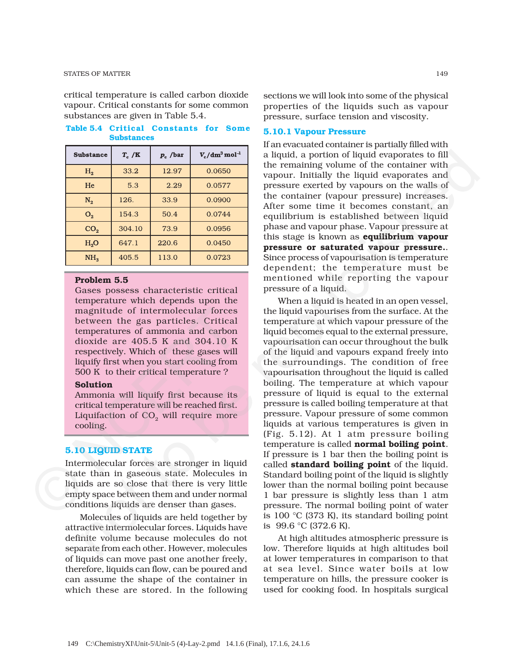critical temperature is called carbon dioxide vapour. Critical constants for some common substances are given in Table 5.4.

**Table 5.4 Critical Constants for Some Substances**

| <b>Substance</b> | $T_c/K$ | $p_c$ /bar | $V_c/dm^3$ mol <sup>-1</sup> |
|------------------|---------|------------|------------------------------|
| H <sub>2</sub>   | 33.2    | 12.97      | 0.0650                       |
| He               | 5.3     | 2.29       | 0.0577                       |
| $N_2$            | 126.    | 33.9       | 0.0900                       |
| $O_{2}$          | 154.3   | 50.4       | 0.0744                       |
| CO <sub>2</sub>  | 304.10  | 73.9       | 0.0956                       |
| H <sub>2</sub> O | 647.1   | 220.6      | 0.0450                       |
| NH <sub>3</sub>  | 405.5   | 113.0      | 0.0723                       |

# **Problem 5.5**

Gases possess characteristic critical temperature which depends upon the magnitude of intermolecular forces between the gas particles. Critical temperatures of ammonia and carbon dioxide are 405.5 K and 304.10 K respectively. Which of these gases will liquify first when you start cooling from 500 K to their critical temperature ? magnitude of intermolecular forces<br>between the gas particles. Critical<br>temperatures of ammonia and carbon<br>dioxide are 405.5 K and 304.10 K<br>respectively. Which of these gases will<br>liquify first when you start cooling from<br>

#### **Solution**

Ammonia will liquify first because its critical temperature will be reached first. Liquifaction of  $CO<sub>2</sub>$  will require more cooling.

#### **5.10 LIQUID STATE**

Intermolecular forces are stronger in liquid state than in gaseous state. Molecules in liquids are so close that there is very little empty space between them and under normal conditions liquids are denser than gases.

Molecules of liquids are held together by attractive intermolecular forces. Liquids have definite volume because molecules do not separate from each other. However, molecules of liquids can move past one another freely, therefore, liquids can flow, can be poured and can assume the shape of the container in which these are stored. In the following

sections we will look into some of the physical properties of the liquids such as vapour pressure, surface tension and viscosity.

#### **5.10.1 Vapour Pressure**

If an evacuated container is partially filled with a liquid, a portion of liquid evaporates to fill the remaining volume of the container with vapour. Initially the liquid evaporates and pressure exerted by vapours on the walls of the container (vapour pressure) increases. After some time it becomes constant, an equilibrium is established between liquid phase and vapour phase. Vapour pressure at this stage is known as **equilibrium vapour pressure or saturated vapour pressure.**. Since process of vapourisation is temperature dependent; the temperature must be mentioned while reporting the vapour pressure of a liquid.

When a liquid is heated in an open vessel, the liquid vapourises from the surface. At the temperature at which vapour pressure of the liquid becomes equal to the external pressure, vapourisation can occur throughout the bulk of the liquid and vapours expand freely into the surroundings. The condition of free vapourisation throughout the liquid is called boiling. The temperature at which vapour pressure of liquid is equal to the external pressure is called boiling temperature at that pressure. Vapour pressure of some common liquids at various temperatures is given in (Fig. 5.12). At 1 atm pressure boiling temperature is called **normal boiling point**. If pressure is 1 bar then the boiling point is called **standard boiling point** of the liquid. Standard boiling point of the liquid is slightly lower than the normal boiling point because 1 bar pressure is slightly less than 1 atm pressure. The normal boiling point of water is 100 °C (373 K), its standard boiling point is 99.6 °C (372.6 K). **sheares**  $x_r/K$  **p**, Asset  $v_s/dm^2$  as liquid, a portion of liquid exaporatis to fill  $n_s$  382 1237 0.06560 vapore. Initially the liquid evaporates and  $\frac{N_s}{2}$  12.67 0.06560 vapore. Initially the liquid evaporates and

At high altitudes atmospheric pressure is low. Therefore liquids at high altitudes boil at lower temperatures in comparison to that at sea level. Since water boils at low temperature on hills, the pressure cooker is used for cooking food. In hospitals surgical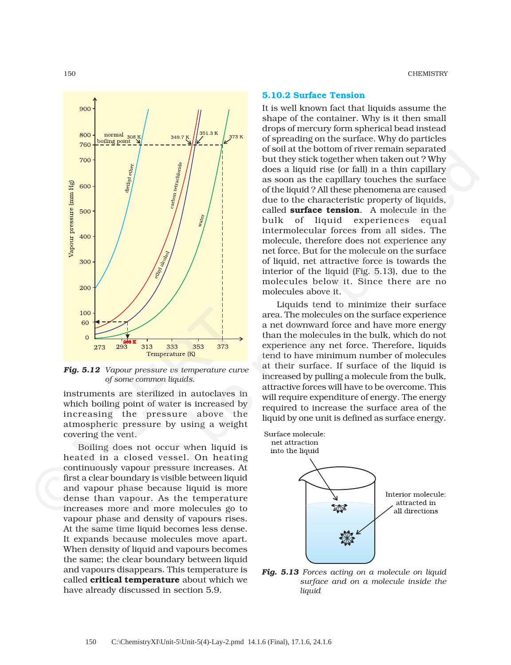

*Fig. 5.12 Vapour pressure vs temperature curve of some common liquids.*

instruments are sterilized in autoclaves in which boiling point of water is increased by increasing the pressure above the atmospheric pressure by using a weight covering the vent.

Boiling does not occur when liquid is heated in a closed vessel. On heating continuously vapour pressure increases. At first a clear boundary is visible between liquid and vapour phase because liquid is more dense than vapour. As the temperature increases more and more molecules go to vapour phase and density of vapours rises. At the same time liquid becomes less dense. It expands because molecules move apart. When density of liquid and vapours becomes the same; the clear boundary between liquid and vapours disappears. This temperature is called **critical temperature** about which we have already discussed in section 5.9. 100<br>
80<br>
273 293 313 333 353 373<br> **Prig. 5.12** Vapour pressure us temperature (K)<br> **Prig. 5.12** Vapour pressure us temperature cur<br>
of some common liquids.<br>
instruments are sterilized in autoclaves<br>
which boiling point of

#### 150 CHEMISTRY

#### **5.10.2 Surface Tension**

It is well known fact that liquids assume the shape of the container. Why is it then small drops of mercury form spherical bead instead of spreading on the surface. Why do particles of soil at the bottom of river remain separated but they stick together when taken out ? Why does a liquid rise (or fall) in a thin capillary as soon as the capillary touches the surface of the liquid ? All these phenomena are caused due to the characteristic property of liquids, called **surface tension**. A molecule in the bulk of liquid experiences equal intermolecular forces from all sides. The molecule, therefore does not experience any net force. But for the molecule on the surface of liquid, net attractive force is towards the interior of the liquid (Fig. 5.13), due to the molecules below it. Since there are no molecules above it.

Liquids tend to minimize their surface area. The molecules on the surface experience a net downward force and have more energy than the molecules in the bulk, which do not experience any net force. Therefore, liquids tend to have minimum number of molecules at their surface. If surface of the liquid is increased by pulling a molecule from the bulk, attractive forces will have to be overcome. This will require expenditure of energy. The energy required to increase the surface area of the liquid by one unit is defined as surface energy.



*Fig. 5.13 Forces acting on a molecule on liquid surface and on a molecule inside the liquid*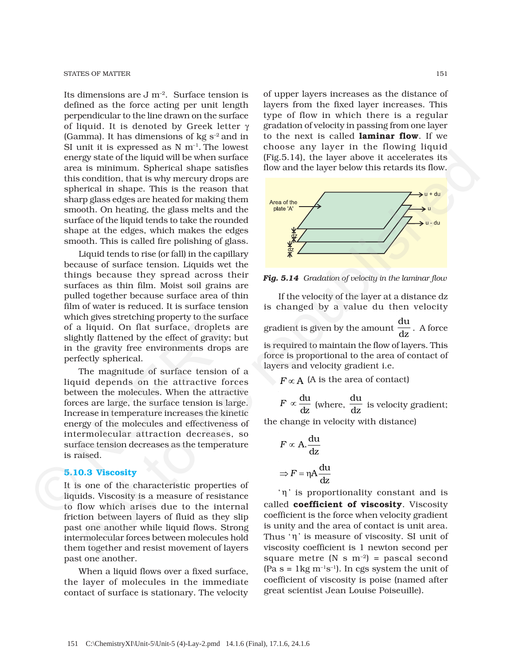Its dimensions are  $J m^{-2}$ . Surface tension is defined as the force acting per unit length perpendicular to the line drawn on the surface of liquid. It is denoted by Greek letter γ (Gamma). It has dimensions of  $kg s<sup>-2</sup>$  and in SI unit it is expressed as  $N$  m<sup>-1</sup>. The lowest energy state of the liquid will be when surface area is minimum. Spherical shape satisfies this condition, that is why mercury drops are spherical in shape. This is the reason that sharp glass edges are heated for making them smooth. On heating, the glass melts and the surface of the liquid tends to take the rounded shape at the edges, which makes the edges smooth. This is called fire polishing of glass.

Liquid tends to rise (or fall) in the capillary because of surface tension. Liquids wet the things because they spread across their surfaces as thin film. Moist soil grains are pulled together because surface area of thin film of water is reduced. It is surface tension which gives stretching property to the surface of a liquid. On flat surface, droplets are slightly flattened by the effect of gravity; but in the gravity free environments drops are perfectly spherical. progressive of the liquid will be when haven authore in section is to be republished that is a summann Spherical shape satisfies<br>
to a minimum. Spherical shape satisfies<br>
term and the layer below this retards its bow-<br>
co

The magnitude of surface tension of a liquid depends on the attractive forces between the molecules. When the attractive forces are large, the surface tension is large. Increase in temperature increases the kinetic energy of the molecules and effectiveness of intermolecular attraction decreases, so surface tension decreases as the temperature is raised. min of water is reduced. It is surface tenst<br>which gives stretching property to the surface of a liquid. On flat surface, droplets a<br>slightly flattened by the effect of gravity; b<br>in the gravity free environments drops a<br>p

# **5.10.3 Viscosity**

It is one of the characteristic properties of liquids. Viscosity is a measure of resistance to flow which arises due to the internal friction between layers of fluid as they slip past one another while liquid flows. Strong intermolecular forces between molecules hold them together and resist movement of layers past one another.

When a liquid flows over a fixed surface, the layer of molecules in the immediate contact of surface is stationary. The velocity

of upper layers increases as the distance of layers from the fixed layer increases. This type of flow in which there is a regular gradation of velocity in passing from one layer to the next is called **laminar flow**. If we choose any layer in the flowing liquid (Fig.5.14), the layer above it accelerates its flow and the layer below this retards its flow.



*Fig. 5.14 Gradation of velocity in the laminar flow*

If the velocity of the layer at a distance dz is changed by a value du then velocity gradient is given by the amount du  $\frac{d}{dz}$ . A force is required to maintain the flow of layers. This force is proportional to the area of contact of layers and velocity gradient i.e.

 $F \propto A$  (A is the area of contact)

du  $F \propto \frac{du}{dz}$  (where,  $\frac{du}{dz}$  $\overline{dz}$  is velocity gradient;

the change in velocity with distance)

$$
F \propto A \frac{du}{dz}
$$

$$
\Rightarrow F = \eta A \frac{du}{dz}
$$

'η' is proportionality constant and is called **coefficient of viscosity**. Viscosity coefficient is the force when velocity gradient is unity and the area of contact is unit area. Thus 'η' is measure of viscosity. SI unit of viscosity coefficient is 1 newton second per square metre (N s  $m^{-2}$ ) = pascal second  $(Pa s = 1kg m^{-1}s^{-1})$ . In cgs system the unit of coefficient of viscosity is poise (named after great scientist Jean Louise Poiseuille).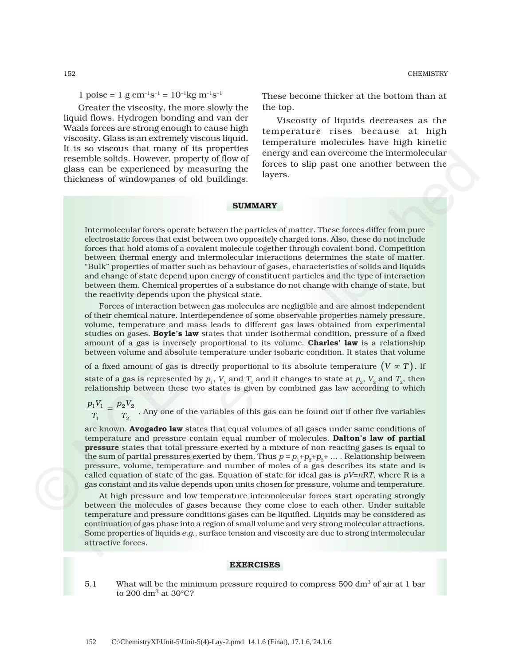1 poise = 1 g cm<sup>-1</sup>s<sup>-1</sup> =  $10^{-1}$ kg m<sup>-1</sup>s<sup>-1</sup>

Greater the viscosity, the more slowly the liquid flows. Hydrogen bonding and van der Waals forces are strong enough to cause high viscosity. Glass is an extremely viscous liquid. It is so viscous that many of its properties resemble solids. However, property of flow of glass can be experienced by measuring the thickness of windowpanes of old buildings.

These become thicker at the bottom than at the top.

Viscosity of liquids decreases as the temperature rises because at high temperature molecules have high kinetic energy and can overcome the intermolecular forces to slip past one another between the layers.

#### **SUMMARY**

Intermolecular forces operate between the particles of matter. These forces differ from pure electrostatic forces that exist between two oppositely charged ions. Also, these do not include forces that hold atoms of a covalent molecule together through covalent bond. Competition between thermal energy and intermolecular interactions determines the state of matter. "Bulk" properties of matter such as behaviour of gases, characteristics of solids and liquids and change of state depend upon energy of constituent particles and the type of interaction between them. Chemical properties of a substance do not change with change of state, but the reactivity depends upon the physical state. so the studies one happens are performed the mergy and can overcome the intermolecular<br>function that the solidary exact that the studies are the studies of which<br>studies of which studies of which operator of the studies i

Forces of interaction between gas molecules are negligible and are almost independent of their chemical nature. Interdependence of some observable properties namely pressure, volume, temperature and mass leads to different gas laws obtained from experimental studies on gases. **Boyle's law** states that under isothermal condition, pressure of a fixed amount of a gas is inversely proportional to its volume. **Charles' law** is a relationship between volume and absolute temperature under isobaric condition. It states that volume

of a fixed amount of gas is directly proportional to its absolute temperature  $(V \propto T)$ . If state of a gas is represented by  $p_1$ ,  $V_1$  and  $T_1$  and it changes to state at  $p_2$ ,  $V_2$  and  $T_2$ , then relationship between these two states is given by combined gas law according to which

 $1^{\nu_1} - {\nu_2}^{\nu_2}$  $1 \t 2$  $\frac{p_1 V_1}{T_1} = \frac{p_2 V_2}{T_2}$ . Any one of the variables of this gas can be found out if other five variables

are known. **Avogadro law** states that equal volumes of all gases under same conditions of temperature and pressure contain equal number of molecules. **Dalton's law of partial pressure** states that total pressure exerted by a mixture of non-reacting gases is equal to the sum of partial pressures exerted by them. Thus  $p = p_1 + p_2 + p_3 + \ldots$ . Relationship between pressure, volume, temperature and number of moles of a gas describes its state and is called equation of state of the gas. Equation of state for ideal gas is  $pV=nRT$ , where R is a gas constant and its value depends upon units chosen for pressure, volume and temperature. rotes of interaction between gas more<br>of their chemical nature. Interdependence<br>volume, temperature and mass leads to<br>studies on gases. **Boyle's law** states tha<br>amount of a gas is inversely proportion<br>between volume and a

At high pressure and low temperature intermolecular forces start operating strongly between the molecules of gases because they come close to each other. Under suitable temperature and pressure conditions gases can be liquified. Liquids may be considered as continuation of gas phase into a region of small volume and very strong molecular attractions. Some properties of liquids *e.g.,* surface tension and viscosity are due to strong intermolecular attractive forces.

#### **EXERCISES**

5.1 What will be the minimum pressure required to compress 500 dm<sup>3</sup> of air at 1 bar to 200  $\rm dm^3$  at 30°C?